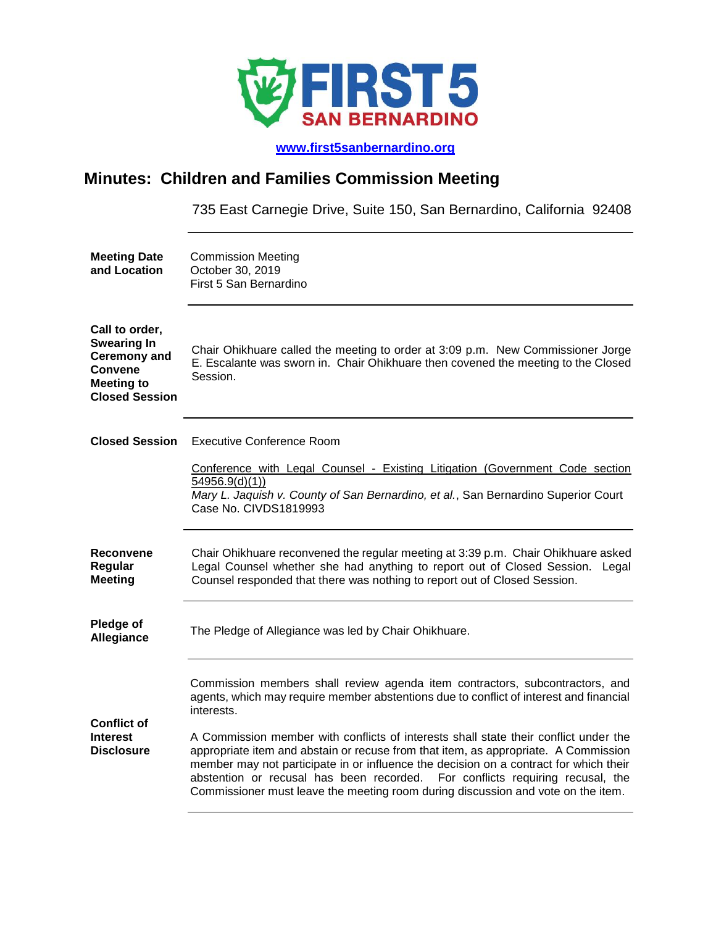

 **[www.first5sanbernardino.org](http://www.first5sanbernardino.org/)**

## **Minutes: Children and Families Commission Meeting**

735 East Carnegie Drive, Suite 150, San Bernardino, California 92408

| <b>Meeting Date</b><br>and Location                                                                                         | <b>Commission Meeting</b><br>October 30, 2019<br>First 5 San Bernardino                                                                                                                                                                                                                                                                                                                                                                   |
|-----------------------------------------------------------------------------------------------------------------------------|-------------------------------------------------------------------------------------------------------------------------------------------------------------------------------------------------------------------------------------------------------------------------------------------------------------------------------------------------------------------------------------------------------------------------------------------|
| Call to order,<br><b>Swearing In</b><br><b>Ceremony and</b><br><b>Convene</b><br><b>Meeting to</b><br><b>Closed Session</b> | Chair Ohikhuare called the meeting to order at 3:09 p.m. New Commissioner Jorge<br>E. Escalante was sworn in. Chair Ohikhuare then covened the meeting to the Closed<br>Session.                                                                                                                                                                                                                                                          |
| <b>Closed Session</b>                                                                                                       | <b>Executive Conference Room</b>                                                                                                                                                                                                                                                                                                                                                                                                          |
|                                                                                                                             | Conference with Legal Counsel - Existing Litigation (Government Code section<br>54956.9(d)(1)<br>Mary L. Jaquish v. County of San Bernardino, et al., San Bernardino Superior Court<br>Case No. CIVDS1819993                                                                                                                                                                                                                              |
| Reconvene<br>Regular<br><b>Meeting</b>                                                                                      | Chair Ohikhuare reconvened the regular meeting at 3:39 p.m. Chair Ohikhuare asked<br>Legal Counsel whether she had anything to report out of Closed Session. Legal<br>Counsel responded that there was nothing to report out of Closed Session.                                                                                                                                                                                           |
| Pledge of<br>Allegiance                                                                                                     | The Pledge of Allegiance was led by Chair Ohikhuare.                                                                                                                                                                                                                                                                                                                                                                                      |
| <b>Conflict of</b>                                                                                                          | Commission members shall review agenda item contractors, subcontractors, and<br>agents, which may require member abstentions due to conflict of interest and financial<br>interests.                                                                                                                                                                                                                                                      |
| <b>Interest</b><br><b>Disclosure</b>                                                                                        | A Commission member with conflicts of interests shall state their conflict under the<br>appropriate item and abstain or recuse from that item, as appropriate. A Commission<br>member may not participate in or influence the decision on a contract for which their<br>abstention or recusal has been recorded. For conflicts requiring recusal, the<br>Commissioner must leave the meeting room during discussion and vote on the item. |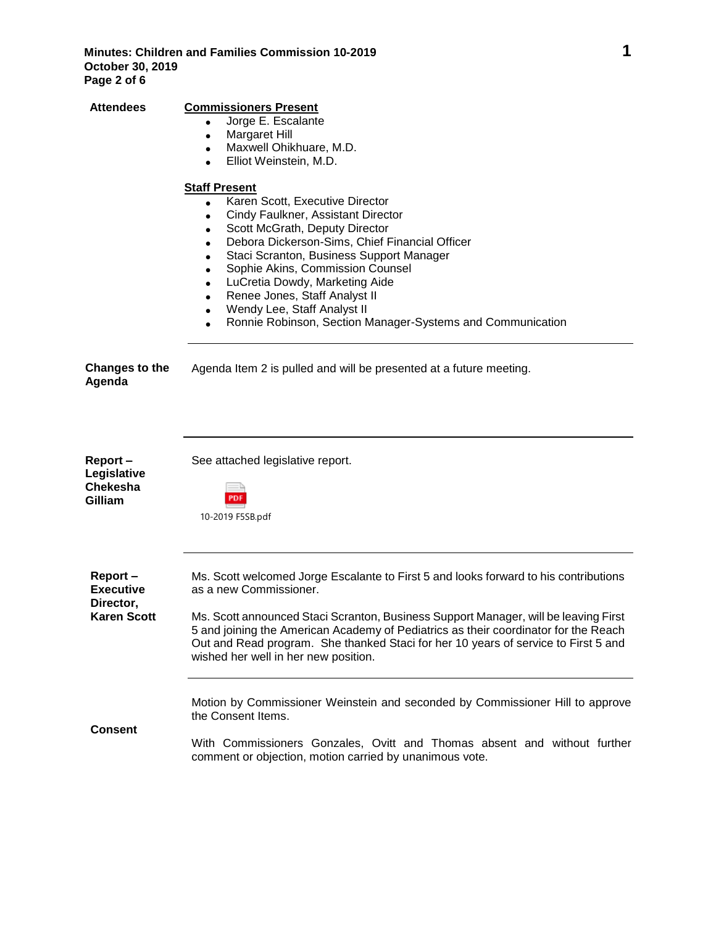**Attendees Commissioners Present**

|                                                                | Jorge E. Escalante<br>$\bullet$<br>Margaret Hill<br>Maxwell Ohikhuare, M.D.<br>$\bullet$<br>Elliot Weinstein, M.D.<br>$\bullet$                                                                                                                                                                                                                                                                                                                                                                    |
|----------------------------------------------------------------|----------------------------------------------------------------------------------------------------------------------------------------------------------------------------------------------------------------------------------------------------------------------------------------------------------------------------------------------------------------------------------------------------------------------------------------------------------------------------------------------------|
|                                                                | <b>Staff Present</b><br>Karen Scott, Executive Director<br>$\bullet$<br>Cindy Faulkner, Assistant Director<br>$\bullet$<br>Scott McGrath, Deputy Director<br>Debora Dickerson-Sims, Chief Financial Officer<br>Staci Scranton, Business Support Manager<br>Sophie Akins, Commission Counsel<br>LuCretia Dowdy, Marketing Aide<br>$\bullet$<br>Renee Jones, Staff Analyst II<br>$\bullet$<br>Wendy Lee, Staff Analyst II<br>$\bullet$<br>Ronnie Robinson, Section Manager-Systems and Communication |
| <b>Changes to the</b><br>Agenda                                | Agenda Item 2 is pulled and will be presented at a future meeting.                                                                                                                                                                                                                                                                                                                                                                                                                                 |
| Report-<br>Legislative<br><b>Chekesha</b><br>Gilliam           | See attached legislative report.<br>PDF<br>10-2019 F5SB.pdf                                                                                                                                                                                                                                                                                                                                                                                                                                        |
| Report-<br><b>Executive</b><br>Director,<br><b>Karen Scott</b> | Ms. Scott welcomed Jorge Escalante to First 5 and looks forward to his contributions<br>as a new Commissioner.<br>Ms. Scott announced Staci Scranton, Business Support Manager, will be leaving First<br>5 and joining the American Academy of Pediatrics as their coordinator for the Reach<br>Out and Read program. She thanked Staci for her 10 years of service to First 5 and<br>wished her well in her new position.                                                                         |
| <b>Consent</b>                                                 | Motion by Commissioner Weinstein and seconded by Commissioner Hill to approve<br>the Consent Items.<br>With Commissioners Gonzales, Ovitt and Thomas absent and without further<br>comment or objection, motion carried by unanimous vote.                                                                                                                                                                                                                                                         |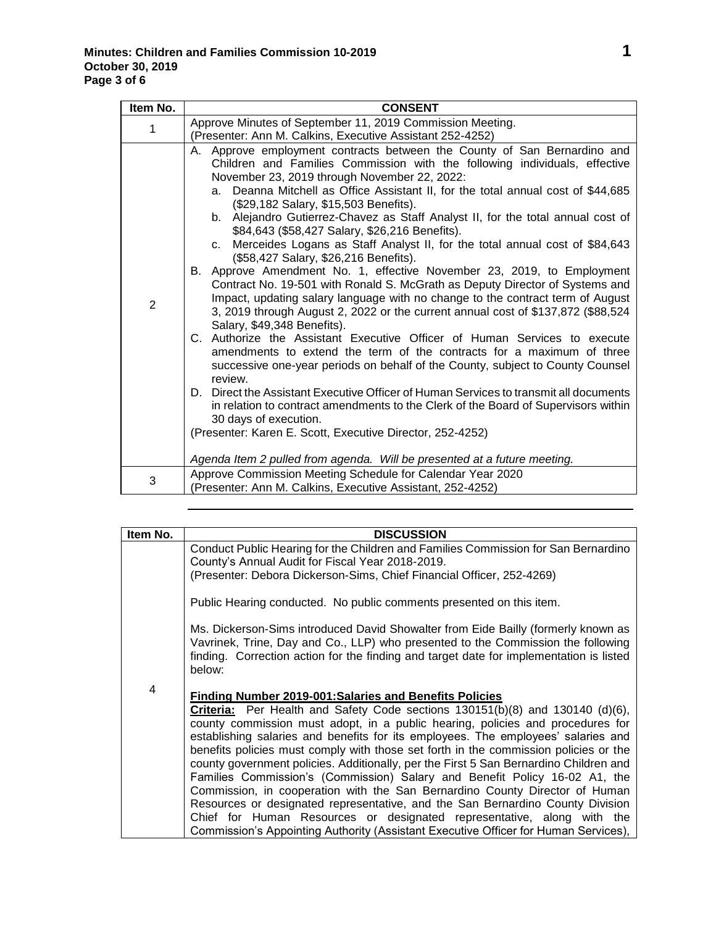| Item No.       | <b>CONSENT</b>                                                                                                                                                                                                                                                                                                                                                                                                                                                                                                                                                                                                                                                                                                                                                                                                                                                                                                                                                                                                                                                                                                                                                                                                                                                                                                                                                                                                                                                                                                                                                                                                                                     |
|----------------|----------------------------------------------------------------------------------------------------------------------------------------------------------------------------------------------------------------------------------------------------------------------------------------------------------------------------------------------------------------------------------------------------------------------------------------------------------------------------------------------------------------------------------------------------------------------------------------------------------------------------------------------------------------------------------------------------------------------------------------------------------------------------------------------------------------------------------------------------------------------------------------------------------------------------------------------------------------------------------------------------------------------------------------------------------------------------------------------------------------------------------------------------------------------------------------------------------------------------------------------------------------------------------------------------------------------------------------------------------------------------------------------------------------------------------------------------------------------------------------------------------------------------------------------------------------------------------------------------------------------------------------------------|
| 1              | Approve Minutes of September 11, 2019 Commission Meeting.                                                                                                                                                                                                                                                                                                                                                                                                                                                                                                                                                                                                                                                                                                                                                                                                                                                                                                                                                                                                                                                                                                                                                                                                                                                                                                                                                                                                                                                                                                                                                                                          |
| $\overline{2}$ | (Presenter: Ann M. Calkins, Executive Assistant 252-4252)<br>A. Approve employment contracts between the County of San Bernardino and<br>Children and Families Commission with the following individuals, effective<br>November 23, 2019 through November 22, 2022:<br>a. Deanna Mitchell as Office Assistant II, for the total annual cost of \$44,685<br>(\$29,182 Salary, \$15,503 Benefits).<br>b. Alejandro Gutierrez-Chavez as Staff Analyst II, for the total annual cost of<br>\$84,643 (\$58,427 Salary, \$26,216 Benefits).<br>Merceides Logans as Staff Analyst II, for the total annual cost of \$84,643<br>C <sub>1</sub><br>(\$58,427 Salary, \$26,216 Benefits).<br>B. Approve Amendment No. 1, effective November 23, 2019, to Employment<br>Contract No. 19-501 with Ronald S. McGrath as Deputy Director of Systems and<br>Impact, updating salary language with no change to the contract term of August<br>3, 2019 through August 2, 2022 or the current annual cost of \$137,872 (\$88,524<br>Salary, \$49,348 Benefits).<br>C. Authorize the Assistant Executive Officer of Human Services to execute<br>amendments to extend the term of the contracts for a maximum of three<br>successive one-year periods on behalf of the County, subject to County Counsel<br>review.<br>D. Direct the Assistant Executive Officer of Human Services to transmit all documents<br>in relation to contract amendments to the Clerk of the Board of Supervisors within<br>30 days of execution.<br>(Presenter: Karen E. Scott, Executive Director, 252-4252)<br>Agenda Item 2 pulled from agenda. Will be presented at a future meeting. |
| 3              | Approve Commission Meeting Schedule for Calendar Year 2020<br>(Presenter: Ann M. Calkins, Executive Assistant, 252-4252)                                                                                                                                                                                                                                                                                                                                                                                                                                                                                                                                                                                                                                                                                                                                                                                                                                                                                                                                                                                                                                                                                                                                                                                                                                                                                                                                                                                                                                                                                                                           |

| Item No. | <b>DISCUSSION</b>                                                                                                                                                                                                                                                                                                                                                                                                                                                                                                                                                                                                                                                                                                                                                                                                                                                                                                       |
|----------|-------------------------------------------------------------------------------------------------------------------------------------------------------------------------------------------------------------------------------------------------------------------------------------------------------------------------------------------------------------------------------------------------------------------------------------------------------------------------------------------------------------------------------------------------------------------------------------------------------------------------------------------------------------------------------------------------------------------------------------------------------------------------------------------------------------------------------------------------------------------------------------------------------------------------|
|          | Conduct Public Hearing for the Children and Families Commission for San Bernardino<br>County's Annual Audit for Fiscal Year 2018-2019.                                                                                                                                                                                                                                                                                                                                                                                                                                                                                                                                                                                                                                                                                                                                                                                  |
|          | (Presenter: Debora Dickerson-Sims, Chief Financial Officer, 252-4269)                                                                                                                                                                                                                                                                                                                                                                                                                                                                                                                                                                                                                                                                                                                                                                                                                                                   |
|          | Public Hearing conducted. No public comments presented on this item.                                                                                                                                                                                                                                                                                                                                                                                                                                                                                                                                                                                                                                                                                                                                                                                                                                                    |
|          | Ms. Dickerson-Sims introduced David Showalter from Eide Bailly (formerly known as<br>Vavrinek, Trine, Day and Co., LLP) who presented to the Commission the following<br>finding. Correction action for the finding and target date for implementation is listed<br>below:                                                                                                                                                                                                                                                                                                                                                                                                                                                                                                                                                                                                                                              |
| 4        | <b>Finding Number 2019-001: Salaries and Benefits Policies</b><br>Criteria: Per Health and Safety Code sections 130151(b)(8) and 130140 (d)(6),<br>county commission must adopt, in a public hearing, policies and procedures for<br>establishing salaries and benefits for its employees. The employees' salaries and<br>benefits policies must comply with those set forth in the commission policies or the<br>county government policies. Additionally, per the First 5 San Bernardino Children and<br>Families Commission's (Commission) Salary and Benefit Policy 16-02 A1, the<br>Commission, in cooperation with the San Bernardino County Director of Human<br>Resources or designated representative, and the San Bernardino County Division<br>Chief for Human Resources or designated representative, along with the<br>Commission's Appointing Authority (Assistant Executive Officer for Human Services), |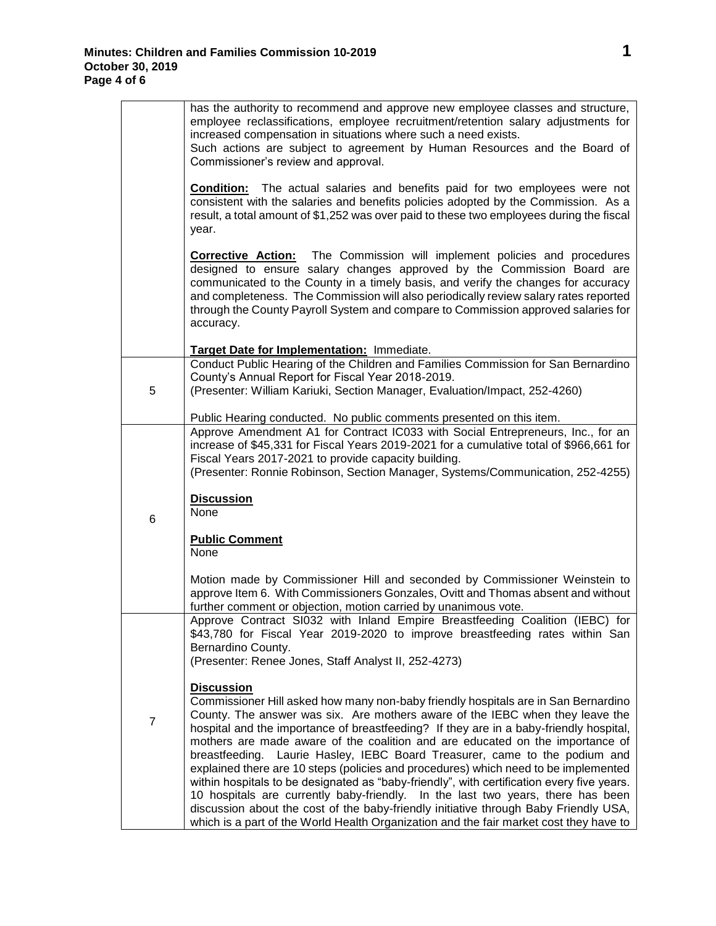|                | has the authority to recommend and approve new employee classes and structure,<br>employee reclassifications, employee recruitment/retention salary adjustments for<br>increased compensation in situations where such a need exists.<br>Such actions are subject to agreement by Human Resources and the Board of<br>Commissioner's review and approval.                                                                                                                                                                                                                                                                                                                                                                                                                                                         |
|----------------|-------------------------------------------------------------------------------------------------------------------------------------------------------------------------------------------------------------------------------------------------------------------------------------------------------------------------------------------------------------------------------------------------------------------------------------------------------------------------------------------------------------------------------------------------------------------------------------------------------------------------------------------------------------------------------------------------------------------------------------------------------------------------------------------------------------------|
|                | <b>Condition:</b> The actual salaries and benefits paid for two employees were not<br>consistent with the salaries and benefits policies adopted by the Commission. As a<br>result, a total amount of \$1,252 was over paid to these two employees during the fiscal<br>year.                                                                                                                                                                                                                                                                                                                                                                                                                                                                                                                                     |
|                | <b>Corrective Action:</b> The Commission will implement policies and procedures<br>designed to ensure salary changes approved by the Commission Board are<br>communicated to the County in a timely basis, and verify the changes for accuracy<br>and completeness. The Commission will also periodically review salary rates reported<br>through the County Payroll System and compare to Commission approved salaries for<br>accuracy.                                                                                                                                                                                                                                                                                                                                                                          |
|                | Target Date for Implementation: Immediate.                                                                                                                                                                                                                                                                                                                                                                                                                                                                                                                                                                                                                                                                                                                                                                        |
| 5              | Conduct Public Hearing of the Children and Families Commission for San Bernardino<br>County's Annual Report for Fiscal Year 2018-2019.<br>(Presenter: William Kariuki, Section Manager, Evaluation/Impact, 252-4260)                                                                                                                                                                                                                                                                                                                                                                                                                                                                                                                                                                                              |
|                |                                                                                                                                                                                                                                                                                                                                                                                                                                                                                                                                                                                                                                                                                                                                                                                                                   |
|                | Public Hearing conducted. No public comments presented on this item.<br>Approve Amendment A1 for Contract IC033 with Social Entrepreneurs, Inc., for an<br>increase of \$45,331 for Fiscal Years 2019-2021 for a cumulative total of \$966,661 for<br>Fiscal Years 2017-2021 to provide capacity building.<br>(Presenter: Ronnie Robinson, Section Manager, Systems/Communication, 252-4255)                                                                                                                                                                                                                                                                                                                                                                                                                      |
| 6              | <b>Discussion</b><br>None                                                                                                                                                                                                                                                                                                                                                                                                                                                                                                                                                                                                                                                                                                                                                                                         |
|                | <b>Public Comment</b><br>None                                                                                                                                                                                                                                                                                                                                                                                                                                                                                                                                                                                                                                                                                                                                                                                     |
|                | Motion made by Commissioner Hill and seconded by Commissioner Weinstein to<br>approve Item 6. With Commissioners Gonzales, Ovitt and Thomas absent and without<br>further comment or objection, motion carried by unanimous vote.                                                                                                                                                                                                                                                                                                                                                                                                                                                                                                                                                                                 |
|                | Approve Contract SI032 with Inland Empire Breastfeeding Coalition (IEBC) for<br>\$43,780 for Fiscal Year 2019-2020 to improve breastfeeding rates within San<br>Bernardino County.                                                                                                                                                                                                                                                                                                                                                                                                                                                                                                                                                                                                                                |
|                | (Presenter: Renee Jones, Staff Analyst II, 252-4273)                                                                                                                                                                                                                                                                                                                                                                                                                                                                                                                                                                                                                                                                                                                                                              |
| $\overline{7}$ | <b>Discussion</b><br>Commissioner Hill asked how many non-baby friendly hospitals are in San Bernardino<br>County. The answer was six. Are mothers aware of the IEBC when they leave the<br>hospital and the importance of breastfeeding? If they are in a baby-friendly hospital,<br>mothers are made aware of the coalition and are educated on the importance of<br>breastfeeding. Laurie Hasley, IEBC Board Treasurer, came to the podium and<br>explained there are 10 steps (policies and procedures) which need to be implemented<br>within hospitals to be designated as "baby-friendly", with certification every five years.<br>10 hospitals are currently baby-friendly. In the last two years, there has been<br>discussion about the cost of the baby-friendly initiative through Baby Friendly USA, |
|                | which is a part of the World Health Organization and the fair market cost they have to                                                                                                                                                                                                                                                                                                                                                                                                                                                                                                                                                                                                                                                                                                                            |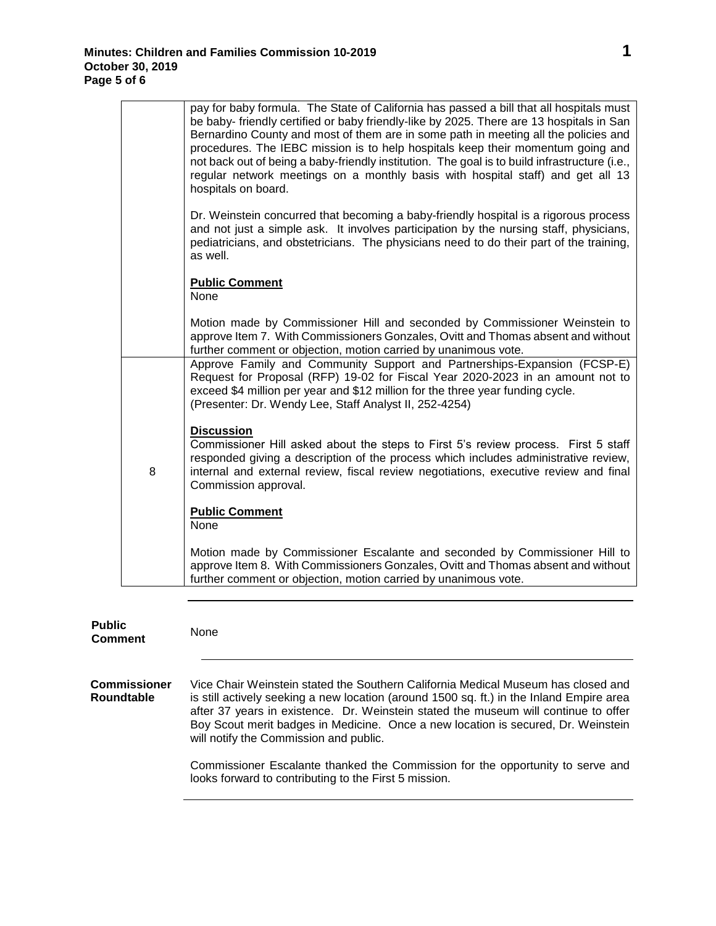**Public** 

|   | pay for baby formula. The State of California has passed a bill that all hospitals must<br>be baby- friendly certified or baby friendly-like by 2025. There are 13 hospitals in San<br>Bernardino County and most of them are in some path in meeting all the policies and<br>procedures. The IEBC mission is to help hospitals keep their momentum going and<br>not back out of being a baby-friendly institution. The goal is to build infrastructure (i.e.,<br>regular network meetings on a monthly basis with hospital staff) and get all 13<br>hospitals on board. |
|---|--------------------------------------------------------------------------------------------------------------------------------------------------------------------------------------------------------------------------------------------------------------------------------------------------------------------------------------------------------------------------------------------------------------------------------------------------------------------------------------------------------------------------------------------------------------------------|
|   | Dr. Weinstein concurred that becoming a baby-friendly hospital is a rigorous process<br>and not just a simple ask. It involves participation by the nursing staff, physicians,<br>pediatricians, and obstetricians. The physicians need to do their part of the training,<br>as well.                                                                                                                                                                                                                                                                                    |
|   | <b>Public Comment</b><br>None                                                                                                                                                                                                                                                                                                                                                                                                                                                                                                                                            |
|   | Motion made by Commissioner Hill and seconded by Commissioner Weinstein to<br>approve Item 7. With Commissioners Gonzales, Ovitt and Thomas absent and without<br>further comment or objection, motion carried by unanimous vote.                                                                                                                                                                                                                                                                                                                                        |
|   | Approve Family and Community Support and Partnerships-Expansion (FCSP-E)<br>Request for Proposal (RFP) 19-02 for Fiscal Year 2020-2023 in an amount not to<br>exceed \$4 million per year and \$12 million for the three year funding cycle.<br>(Presenter: Dr. Wendy Lee, Staff Analyst II, 252-4254)                                                                                                                                                                                                                                                                   |
| 8 | <b>Discussion</b><br>Commissioner Hill asked about the steps to First 5's review process. First 5 staff<br>responded giving a description of the process which includes administrative review,<br>internal and external review, fiscal review negotiations, executive review and final<br>Commission approval.                                                                                                                                                                                                                                                           |
|   | <b>Public Comment</b><br>None                                                                                                                                                                                                                                                                                                                                                                                                                                                                                                                                            |
|   | Motion made by Commissioner Escalante and seconded by Commissioner Hill to<br>approve Item 8. With Commissioners Gonzales, Ovitt and Thomas absent and without<br>further comment or objection, motion carried by unanimous vote.                                                                                                                                                                                                                                                                                                                                        |
|   |                                                                                                                                                                                                                                                                                                                                                                                                                                                                                                                                                                          |

**Comment** None *<sup>1</sup>***Commissioner Roundtable** Vice Chair Weinstein stated the Southern California Medical Museum has closed and is still actively seeking a new location (around 1500 sq. ft.) in the Inland Empire area after 37 years in existence. Dr. Weinstein stated the museum will continue to offer Boy Scout merit badges in Medicine. Once a new location is secured, Dr. Weinstein will notify the Commission and public. Commissioner Escalante thanked the Commission for the opportunity to serve and looks forward to contributing to the First 5 mission.